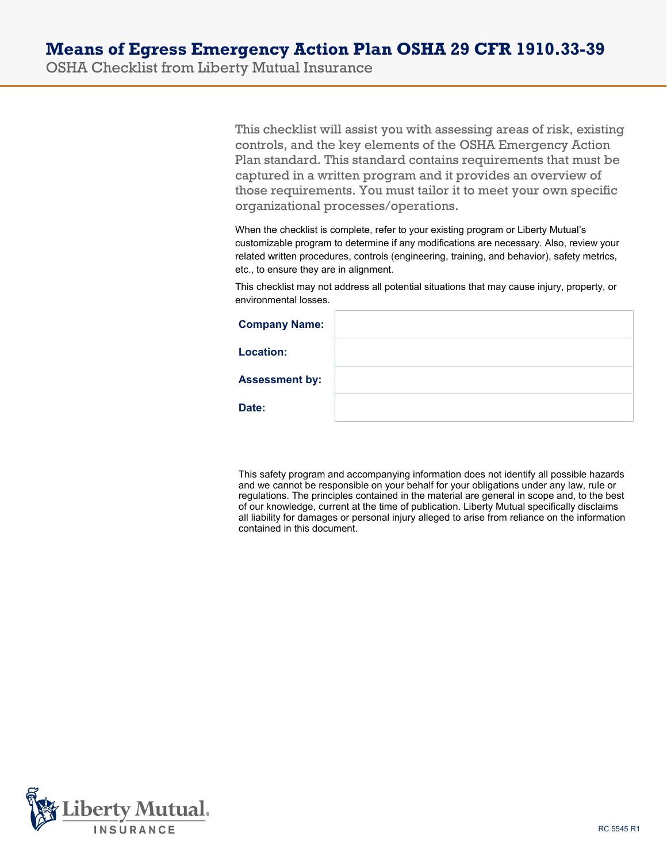OSHA Checklist from Liberty Mutual Insurance

This checklist will assist you with assessing areas of risk, existing controls, and the key elements of the OSHA Emergency Action Plan standard. This standard contains requirements that must be captured in a written program and it provides an overview of those requirements. You must tailor it to meet your own specific organizational processes/operations.

When the checklist is complete, refer to your existing program or Liberty Mutual's customizable program to determine if any modifications are necessary. Also, review your related written procedures, controls (engineering, training, and behavior), safety metrics, etc., to ensure they are in alignment.

This checklist may not address all potential situations that may cause injury, property, or environmental losses.

| <b>Company Name:</b>  |  |
|-----------------------|--|
| <b>Location:</b>      |  |
| <b>Assessment by:</b> |  |
| Date:                 |  |

This safety program and accompanying information does not identify all possible hazards and we cannot be responsible on your behalf for your obligations under any law, rule or regulations. The principles contained in the material are general in scope and, to the best of our knowledge, current at the time of publication. Liberty Mutual specifically disclaims all liability for damages or personal injury alleged to arise from reliance on the information contained in this document.

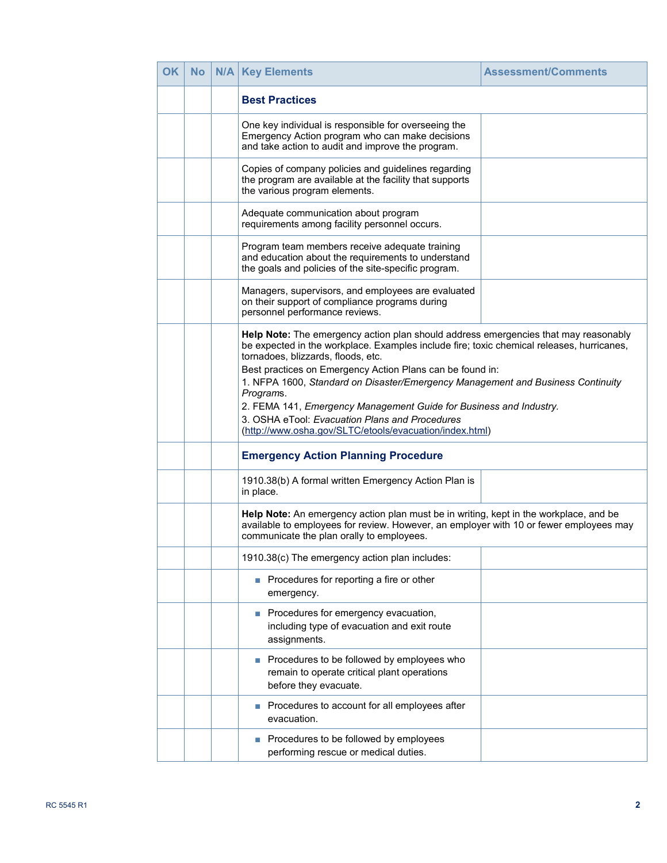| <b>OK</b> | No | N/A | <b>Key Elements</b>                                                                                                                                                                                                                                                                                                                                                                                                                                                                                                                                                    | <b>Assessment/Comments</b> |
|-----------|----|-----|------------------------------------------------------------------------------------------------------------------------------------------------------------------------------------------------------------------------------------------------------------------------------------------------------------------------------------------------------------------------------------------------------------------------------------------------------------------------------------------------------------------------------------------------------------------------|----------------------------|
|           |    |     | <b>Best Practices</b>                                                                                                                                                                                                                                                                                                                                                                                                                                                                                                                                                  |                            |
|           |    |     | One key individual is responsible for overseeing the<br>Emergency Action program who can make decisions<br>and take action to audit and improve the program.                                                                                                                                                                                                                                                                                                                                                                                                           |                            |
|           |    |     | Copies of company policies and guidelines regarding<br>the program are available at the facility that supports<br>the various program elements.                                                                                                                                                                                                                                                                                                                                                                                                                        |                            |
|           |    |     | Adequate communication about program<br>requirements among facility personnel occurs.                                                                                                                                                                                                                                                                                                                                                                                                                                                                                  |                            |
|           |    |     | Program team members receive adequate training<br>and education about the requirements to understand<br>the goals and policies of the site-specific program.                                                                                                                                                                                                                                                                                                                                                                                                           |                            |
|           |    |     | Managers, supervisors, and employees are evaluated<br>on their support of compliance programs during<br>personnel performance reviews.                                                                                                                                                                                                                                                                                                                                                                                                                                 |                            |
|           |    |     | Help Note: The emergency action plan should address emergencies that may reasonably<br>be expected in the workplace. Examples include fire; toxic chemical releases, hurricanes,<br>tornadoes, blizzards, floods, etc.<br>Best practices on Emergency Action Plans can be found in:<br>1. NFPA 1600, Standard on Disaster/Emergency Management and Business Continuity<br>Programs.<br>2. FEMA 141, Emergency Management Guide for Business and Industry.<br>3. OSHA eTool: Evacuation Plans and Procedures<br>(http://www.osha.gov/SLTC/etools/evacuation/index.html) |                            |
|           |    |     | <b>Emergency Action Planning Procedure</b>                                                                                                                                                                                                                                                                                                                                                                                                                                                                                                                             |                            |
|           |    |     | 1910.38(b) A formal written Emergency Action Plan is<br>in place.                                                                                                                                                                                                                                                                                                                                                                                                                                                                                                      |                            |
|           |    |     | Help Note: An emergency action plan must be in writing, kept in the workplace, and be<br>available to employees for review. However, an employer with 10 or fewer employees may<br>communicate the plan orally to employees.                                                                                                                                                                                                                                                                                                                                           |                            |
|           |    |     | 1910.38(c) The emergency action plan includes:                                                                                                                                                                                                                                                                                                                                                                                                                                                                                                                         |                            |
|           |    |     | Procedures for reporting a fire or other<br>emergency.                                                                                                                                                                                                                                                                                                                                                                                                                                                                                                                 |                            |
|           |    |     | Procedures for emergency evacuation,<br>including type of evacuation and exit route<br>assignments.                                                                                                                                                                                                                                                                                                                                                                                                                                                                    |                            |
|           |    |     | Procedures to be followed by employees who<br>remain to operate critical plant operations<br>before they evacuate.                                                                                                                                                                                                                                                                                                                                                                                                                                                     |                            |
|           |    |     | Procedures to account for all employees after<br>evacuation.                                                                                                                                                                                                                                                                                                                                                                                                                                                                                                           |                            |
|           |    |     | Procedures to be followed by employees<br>performing rescue or medical duties.                                                                                                                                                                                                                                                                                                                                                                                                                                                                                         |                            |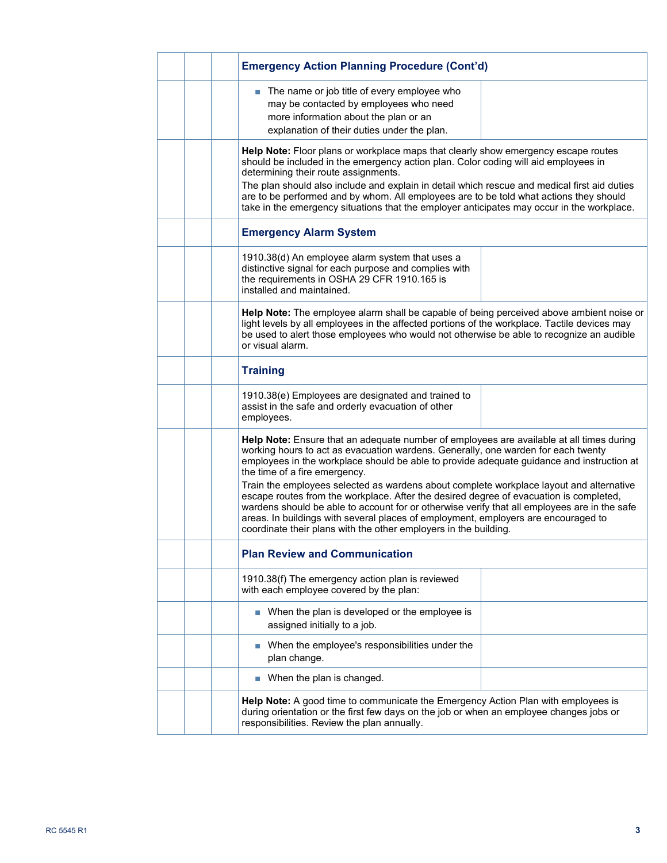| <b>Emergency Action Planning Procedure (Cont'd)</b>                                                                                                                                                                                                                                                                                                                                                                                                                                                                                                                                                                                                                                                                                                        |  |
|------------------------------------------------------------------------------------------------------------------------------------------------------------------------------------------------------------------------------------------------------------------------------------------------------------------------------------------------------------------------------------------------------------------------------------------------------------------------------------------------------------------------------------------------------------------------------------------------------------------------------------------------------------------------------------------------------------------------------------------------------------|--|
| The name or job title of every employee who<br>E<br>may be contacted by employees who need<br>more information about the plan or an<br>explanation of their duties under the plan.                                                                                                                                                                                                                                                                                                                                                                                                                                                                                                                                                                         |  |
| Help Note: Floor plans or workplace maps that clearly show emergency escape routes<br>should be included in the emergency action plan. Color coding will aid employees in<br>determining their route assignments.<br>The plan should also include and explain in detail which rescue and medical first aid duties<br>are to be performed and by whom. All employees are to be told what actions they should<br>take in the emergency situations that the employer anticipates may occur in the workplace.                                                                                                                                                                                                                                                  |  |
| <b>Emergency Alarm System</b>                                                                                                                                                                                                                                                                                                                                                                                                                                                                                                                                                                                                                                                                                                                              |  |
| 1910.38(d) An employee alarm system that uses a<br>distinctive signal for each purpose and complies with<br>the requirements in OSHA 29 CFR 1910.165 is<br>installed and maintained.                                                                                                                                                                                                                                                                                                                                                                                                                                                                                                                                                                       |  |
| Help Note: The employee alarm shall be capable of being perceived above ambient noise or<br>light levels by all employees in the affected portions of the workplace. Tactile devices may<br>be used to alert those employees who would not otherwise be able to recognize an audible<br>or visual alarm.                                                                                                                                                                                                                                                                                                                                                                                                                                                   |  |
| <b>Training</b>                                                                                                                                                                                                                                                                                                                                                                                                                                                                                                                                                                                                                                                                                                                                            |  |
| 1910.38(e) Employees are designated and trained to<br>assist in the safe and orderly evacuation of other<br>employees.                                                                                                                                                                                                                                                                                                                                                                                                                                                                                                                                                                                                                                     |  |
| Help Note: Ensure that an adequate number of employees are available at all times during<br>working hours to act as evacuation wardens. Generally, one warden for each twenty<br>employees in the workplace should be able to provide adequate guidance and instruction at<br>the time of a fire emergency.<br>Train the employees selected as wardens about complete workplace layout and alternative<br>escape routes from the workplace. After the desired degree of evacuation is completed,<br>wardens should be able to account for or otherwise verify that all employees are in the safe<br>areas. In buildings with several places of employment, employers are encouraged to<br>coordinate their plans with the other employers in the building. |  |
| <b>Plan Review and Communication</b>                                                                                                                                                                                                                                                                                                                                                                                                                                                                                                                                                                                                                                                                                                                       |  |
| 1910.38(f) The emergency action plan is reviewed<br>with each employee covered by the plan:                                                                                                                                                                                                                                                                                                                                                                                                                                                                                                                                                                                                                                                                |  |
| ■ When the plan is developed or the employee is<br>assigned initially to a job.                                                                                                                                                                                                                                                                                                                                                                                                                                                                                                                                                                                                                                                                            |  |
| ■ When the employee's responsibilities under the<br>plan change.                                                                                                                                                                                                                                                                                                                                                                                                                                                                                                                                                                                                                                                                                           |  |
| When the plan is changed.                                                                                                                                                                                                                                                                                                                                                                                                                                                                                                                                                                                                                                                                                                                                  |  |
| Help Note: A good time to communicate the Emergency Action Plan with employees is<br>during orientation or the first few days on the job or when an employee changes jobs or<br>responsibilities. Review the plan annually.                                                                                                                                                                                                                                                                                                                                                                                                                                                                                                                                |  |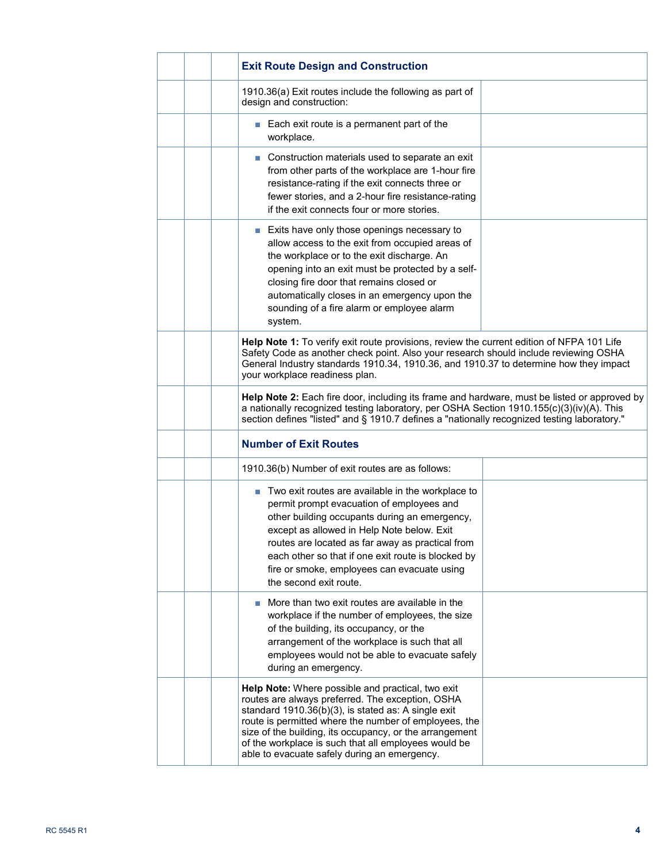|  | <b>Exit Route Design and Construction</b>                                                                                                                                                                                                                                                                                                                                                                    |  |
|--|--------------------------------------------------------------------------------------------------------------------------------------------------------------------------------------------------------------------------------------------------------------------------------------------------------------------------------------------------------------------------------------------------------------|--|
|  | 1910.36(a) Exit routes include the following as part of<br>design and construction:                                                                                                                                                                                                                                                                                                                          |  |
|  | Each exit route is a permanent part of the<br>П<br>workplace.                                                                                                                                                                                                                                                                                                                                                |  |
|  | Construction materials used to separate an exit<br>from other parts of the workplace are 1-hour fire<br>resistance-rating if the exit connects three or<br>fewer stories, and a 2-hour fire resistance-rating<br>if the exit connects four or more stories.                                                                                                                                                  |  |
|  | ■ Exits have only those openings necessary to<br>allow access to the exit from occupied areas of<br>the workplace or to the exit discharge. An<br>opening into an exit must be protected by a self-<br>closing fire door that remains closed or<br>automatically closes in an emergency upon the<br>sounding of a fire alarm or employee alarm<br>system.                                                    |  |
|  | Help Note 1: To verify exit route provisions, review the current edition of NFPA 101 Life<br>Safety Code as another check point. Also your research should include reviewing OSHA<br>General Industry standards 1910.34, 1910.36, and 1910.37 to determine how they impact<br>your workplace readiness plan.                                                                                                 |  |
|  | Help Note 2: Each fire door, including its frame and hardware, must be listed or approved by<br>a nationally recognized testing laboratory, per OSHA Section 1910.155(c)(3)(iv)(A). This<br>section defines "listed" and § 1910.7 defines a "nationally recognized testing laboratory."                                                                                                                      |  |
|  | <b>Number of Exit Routes</b>                                                                                                                                                                                                                                                                                                                                                                                 |  |
|  | 1910.36(b) Number of exit routes are as follows:                                                                                                                                                                                                                                                                                                                                                             |  |
|  | Two exit routes are available in the workplace to<br>$\overline{\phantom{a}}$<br>permit prompt evacuation of employees and<br>other building occupants during an emergency,<br>except as allowed in Help Note below. Exit<br>routes are located as far away as practical from<br>each other so that if one exit route is blocked by<br>fire or smoke, employees can evacuate using<br>the second exit route. |  |
|  | More than two exit routes are available in the<br>workplace if the number of employees, the size<br>of the building, its occupancy, or the<br>arrangement of the workplace is such that all<br>employees would not be able to evacuate safely<br>during an emergency.                                                                                                                                        |  |
|  | Help Note: Where possible and practical, two exit<br>routes are always preferred. The exception, OSHA<br>standard 1910.36(b)(3), is stated as: A single exit<br>route is permitted where the number of employees, the<br>size of the building, its occupancy, or the arrangement<br>of the workplace is such that all employees would be<br>able to evacuate safely during an emergency.                     |  |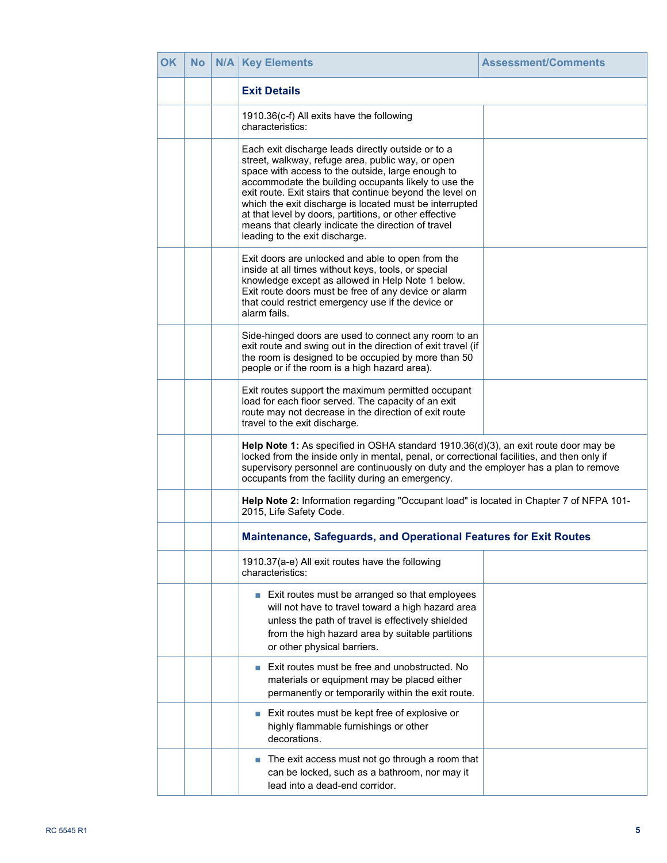| <b>OK</b> | <b>No</b> | N/A | <b>Key Elements</b>                                                                                                                                                                                                                                                                                                                                                                                                                                                                             | <b>Assessment/Comments</b> |
|-----------|-----------|-----|-------------------------------------------------------------------------------------------------------------------------------------------------------------------------------------------------------------------------------------------------------------------------------------------------------------------------------------------------------------------------------------------------------------------------------------------------------------------------------------------------|----------------------------|
|           |           |     | <b>Exit Details</b>                                                                                                                                                                                                                                                                                                                                                                                                                                                                             |                            |
|           |           |     | 1910.36(c-f) All exits have the following<br>characteristics:                                                                                                                                                                                                                                                                                                                                                                                                                                   |                            |
|           |           |     | Each exit discharge leads directly outside or to a<br>street, walkway, refuge area, public way, or open<br>space with access to the outside, large enough to<br>accommodate the building occupants likely to use the<br>exit route. Exit stairs that continue beyond the level on<br>which the exit discharge is located must be interrupted<br>at that level by doors, partitions, or other effective<br>means that clearly indicate the direction of travel<br>leading to the exit discharge. |                            |
|           |           |     | Exit doors are unlocked and able to open from the<br>inside at all times without keys, tools, or special<br>knowledge except as allowed in Help Note 1 below.<br>Exit route doors must be free of any device or alarm<br>that could restrict emergency use if the device or<br>alarm fails.                                                                                                                                                                                                     |                            |
|           |           |     | Side-hinged doors are used to connect any room to an<br>exit route and swing out in the direction of exit travel (if<br>the room is designed to be occupied by more than 50<br>people or if the room is a high hazard area).                                                                                                                                                                                                                                                                    |                            |
|           |           |     | Exit routes support the maximum permitted occupant<br>load for each floor served. The capacity of an exit<br>route may not decrease in the direction of exit route<br>travel to the exit discharge.                                                                                                                                                                                                                                                                                             |                            |
|           |           |     | Help Note 1: As specified in OSHA standard 1910.36(d)(3), an exit route door may be<br>locked from the inside only in mental, penal, or correctional facilities, and then only if<br>supervisory personnel are continuously on duty and the employer has a plan to remove<br>occupants from the facility during an emergency.                                                                                                                                                                   |                            |
|           |           |     | Help Note 2: Information regarding "Occupant load" is located in Chapter 7 of NFPA 101-<br>2015, Life Safety Code.                                                                                                                                                                                                                                                                                                                                                                              |                            |
|           |           |     | Maintenance, Safeguards, and Operational Features for Exit Routes                                                                                                                                                                                                                                                                                                                                                                                                                               |                            |
|           |           |     | 1910.37(a-e) All exit routes have the following<br>characteristics:                                                                                                                                                                                                                                                                                                                                                                                                                             |                            |
|           |           |     | Exit routes must be arranged so that employees<br>E<br>will not have to travel toward a high hazard area<br>unless the path of travel is effectively shielded<br>from the high hazard area by suitable partitions<br>or other physical barriers.                                                                                                                                                                                                                                                |                            |
|           |           |     | Exit routes must be free and unobstructed. No<br>materials or equipment may be placed either<br>permanently or temporarily within the exit route.                                                                                                                                                                                                                                                                                                                                               |                            |
|           |           |     | Exit routes must be kept free of explosive or<br>highly flammable furnishings or other<br>decorations.                                                                                                                                                                                                                                                                                                                                                                                          |                            |
|           |           |     | The exit access must not go through a room that<br>can be locked, such as a bathroom, nor may it<br>lead into a dead-end corridor.                                                                                                                                                                                                                                                                                                                                                              |                            |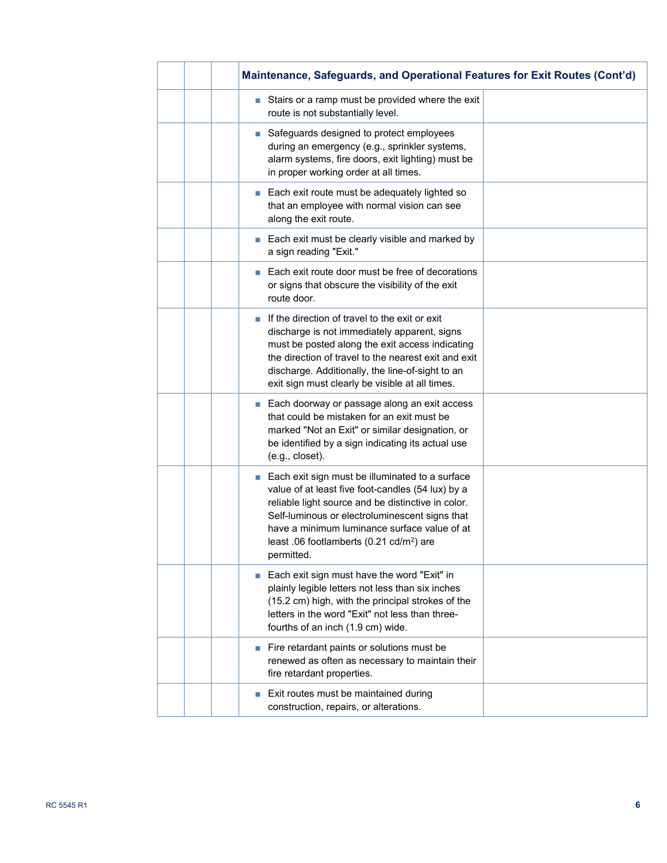| Maintenance, Safeguards, and Operational Features for Exit Routes (Cont'd)                                                                                                                                                                                                                                                           |  |
|--------------------------------------------------------------------------------------------------------------------------------------------------------------------------------------------------------------------------------------------------------------------------------------------------------------------------------------|--|
| Stairs or a ramp must be provided where the exit<br>route is not substantially level.                                                                                                                                                                                                                                                |  |
| Safeguards designed to protect employees<br>during an emergency (e.g., sprinkler systems,<br>alarm systems, fire doors, exit lighting) must be<br>in proper working order at all times.                                                                                                                                              |  |
| ■ Each exit route must be adequately lighted so<br>that an employee with normal vision can see<br>along the exit route.                                                                                                                                                                                                              |  |
| Each exit must be clearly visible and marked by<br>E<br>a sign reading "Exit."                                                                                                                                                                                                                                                       |  |
| Each exit route door must be free of decorations<br>п<br>or signs that obscure the visibility of the exit<br>route door.                                                                                                                                                                                                             |  |
| If the direction of travel to the exit or exit<br>discharge is not immediately apparent, signs<br>must be posted along the exit access indicating<br>the direction of travel to the nearest exit and exit<br>discharge. Additionally, the line-of-sight to an<br>exit sign must clearly be visible at all times.                     |  |
| Each doorway or passage along an exit access<br><b>I</b><br>that could be mistaken for an exit must be<br>marked "Not an Exit" or similar designation, or<br>be identified by a sign indicating its actual use<br>(e.g., closet).                                                                                                    |  |
| ■ Each exit sign must be illuminated to a surface<br>value of at least five foot-candles (54 lux) by a<br>reliable light source and be distinctive in color.<br>Self-luminous or electroluminescent signs that<br>have a minimum luminance surface value of at<br>least .06 footlamberts (0.21 cd/m <sup>2</sup> ) are<br>permitted. |  |
| Each exit sign must have the word "Exit" in<br>П<br>plainly legible letters not less than six inches<br>(15.2 cm) high, with the principal strokes of the<br>letters in the word "Exit" not less than three-<br>fourths of an inch (1.9 cm) wide.                                                                                    |  |
| Fire retardant paints or solutions must be<br>renewed as often as necessary to maintain their<br>fire retardant properties.                                                                                                                                                                                                          |  |
| Exit routes must be maintained during<br>construction, repairs, or alterations.                                                                                                                                                                                                                                                      |  |